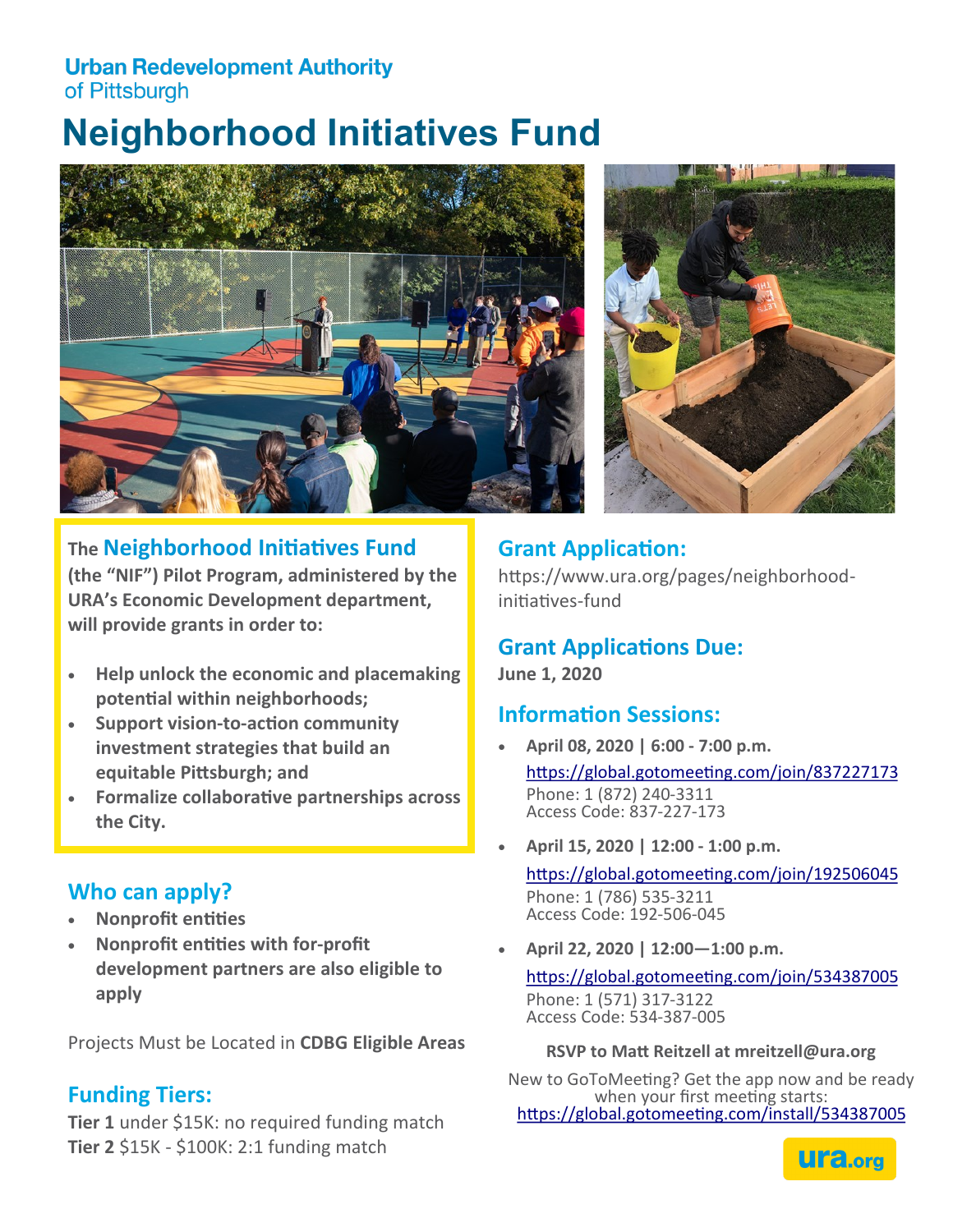#### **Urban Redevelopment Authority** of Pittsburgh

# **Neighborhood Initiatives Fund**



# **The Neighborhood Initiatives Fund**

**(the "NIF") Pilot Program, administered by the URA's Economic Development department, will provide grants in order to:** 

- **Help unlock the economic and placemaking potential within neighborhoods;**
- **Support vision-to-action community investment strategies that build an equitable Pittsburgh; and**
- **Formalize collaborative partnerships across the City.**

## **Who can apply?**

- **Nonprofit entities**
- **Nonprofit entities with for-profit development partners are also eligible to apply**

Projects Must be Located in **CDBG Eligible Areas**

#### **Funding Tiers:**

**Tier 1** under \$15K: no required funding match **Tier 2** \$15K - \$100K: 2:1 funding match



# **Grant Application:**

https://www.ura.org/pages/neighborhoodinitiatives-fund

## **Grant Applications Due:**

**June 1, 2020**

#### **Information Sessions:**

- **April 08, 2020 | 6:00 - 7:00 p.m.** <https://global.gotomeeting.com/join/837227173> Phone: 1 (872) 240-3311 Access Code: 837-227-173
- **April 15, 2020 | 12:00 - 1:00 p.m.**

<https://global.gotomeeting.com/join/192506045> Phone: 1 (786) 535-3211 Access Code: 192-506-045

• **April 22, 2020 | 12:00—1:00 p.m.**

<https://global.gotomeeting.com/join/534387005> Phone: 1 (571) 317-3122 Access Code: 534-387-005

**RSVP to Matt Reitzell at mreitzell@ura.org** 

New to GoToMeeting? Get the app now and be ready when your first meeting starts: <https://global.gotomeeting.com/install/534387005>